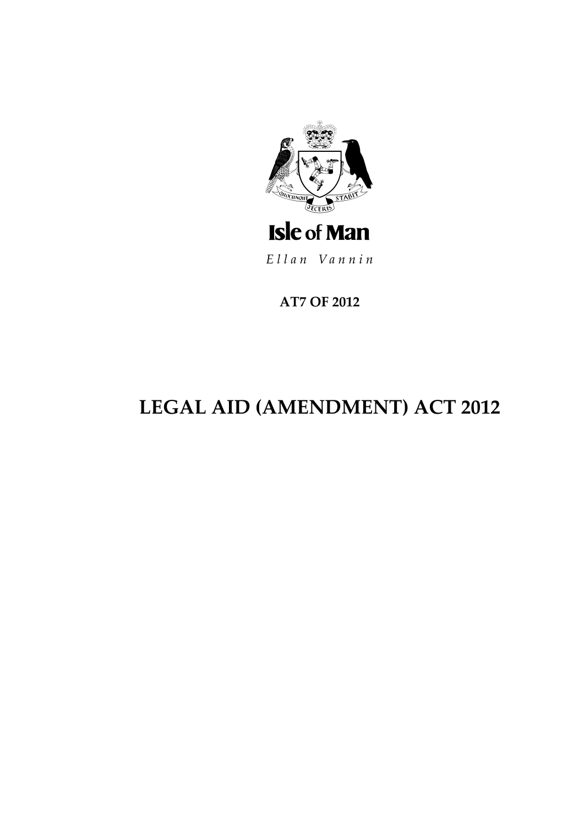

Ellan Vannin

**AT7 OF 2012** 

# **LEGAL AID (AMENDMENT) ACT 2012**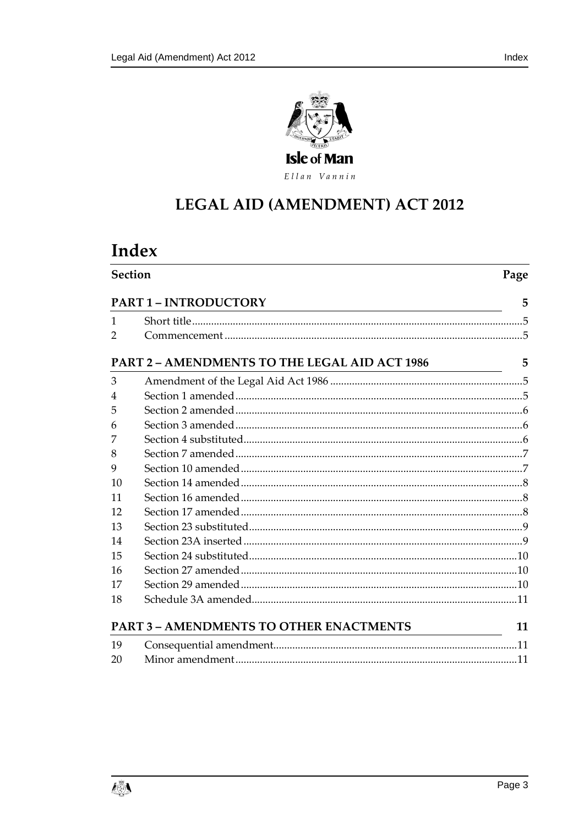

Ellan Vannin

## **LEGAL AID (AMENDMENT) ACT 2012**

## Index

| <b>Section</b><br><b>PART 1-INTRODUCTORY</b>         |  | Page |
|------------------------------------------------------|--|------|
|                                                      |  | 5    |
| 1                                                    |  |      |
| $\overline{2}$                                       |  |      |
| <b>PART 2 - AMENDMENTS TO THE LEGAL AID ACT 1986</b> |  | 5    |
| 3                                                    |  |      |
| 4                                                    |  |      |
| 5                                                    |  |      |
| 6                                                    |  |      |
| 7                                                    |  |      |
| 8                                                    |  |      |
| 9                                                    |  |      |
| 10                                                   |  |      |
| 11                                                   |  |      |
| 12                                                   |  |      |
| 13                                                   |  |      |
| 14                                                   |  |      |
| 15                                                   |  |      |
| 16                                                   |  |      |
| 17                                                   |  |      |
| 18                                                   |  |      |
| <b>PART 3 - AMENDMENTS TO OTHER ENACTMENTS</b>       |  | 11   |
| 19                                                   |  |      |
| 20                                                   |  |      |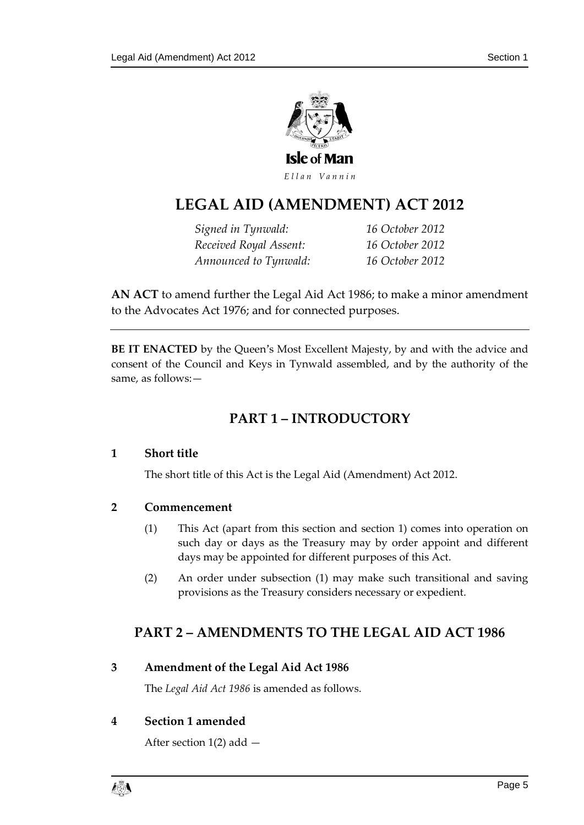

## **LEGAL AID (AMENDMENT ) ACT 2012**

*Signed in Tynwald: 16 October 2012 Received Royal Assent: 16 October 2012 Announced to Tynwald: 16 October 2012*

**AN ACT** to amend further the Legal Aid Act 1986; to make a minor amendment to the Advocates Act 1976; and for connected purposes.

<span id="page-4-0"></span>**BE IT ENACTED** by the Queen's Most Excellent Majesty, by and with the advice and consent of the Council and Keys in Tynwald assembled, and by the authority of the same, as follows:—

## **PART 1 – INTRODUCTORY**

### <span id="page-4-1"></span>**1 Short title**

The short title of this Act is the Legal Aid (Amendment) Act 2012.

### <span id="page-4-2"></span>**2 Commencement**

- (1) This Act (apart from this section and section 1) comes into operation on such day or days as the Treasury may by order appoint and different days may be appointed for different purposes of this Act.
- (2) An order under subsection (1) may make such transitional and saving provisions as the Treasury considers necessary or expedient.

## <span id="page-4-3"></span>**PART 2 – AMENDMENTS TO THE LEGAL AID ACT 1986**

<span id="page-4-4"></span>**3 Amendment of the Legal Aid Act 1986**

The *Legal Aid Act 1986* is amended as follows.

## <span id="page-4-5"></span>**4 Section 1 amended**

After section  $1(2)$  add  $-$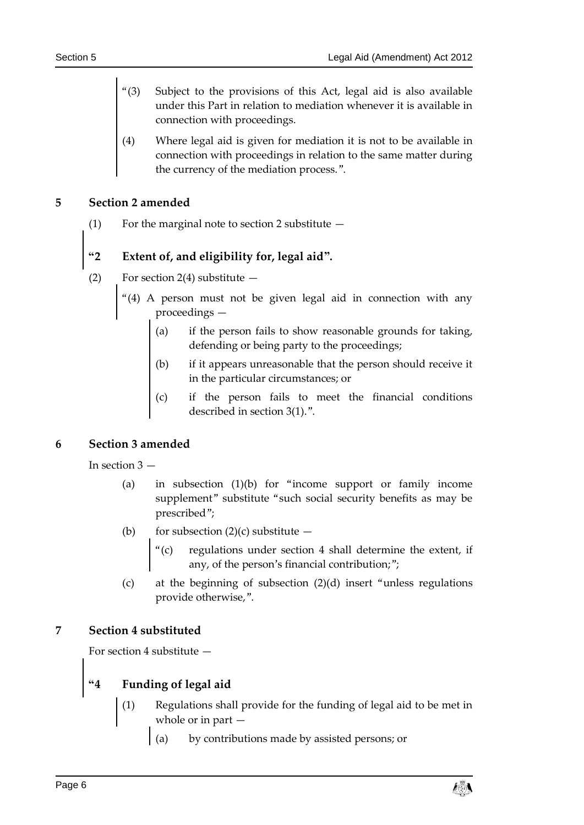- Subject to the provisions of this Act, legal aid is also available under this Part in relation to mediation whenever it is available in connection with proceedings.
- (4) Where legal aid is given for mediation it is not to be available in connection with proceedings in relation to the same matter during the currency of the mediation process.".

## <span id="page-5-0"></span>**5 Section 2 amended**

(1) For the marginal note to section 2 substitute  $-$ 

## **"2 Extent of, and eligibility for, legal aid".**

- (2) For section 2(4) substitute  $-$ 
	- "(4) A person must not be given legal aid in connection with any proceedings —
		- (a) if the person fails to show reasonable grounds for taking, defending or being party to the proceedings;
		- (b) if it appears unreasonable that the person should receive it in the particular circumstances; or
		- if the person fails to meet the financial conditions described in section 3(1).".

## <span id="page-5-1"></span>**6 Section 3 amended**

In section 3 —

- (a) in subsection (1)(b) for "income support or family income supplement" substitute "such social security benefits as may be prescribed";
- (b) for subsection  $(2)(c)$  substitute  $-$ 
	- "(c) regulations under section 4 shall determine the extent, if any, of the person's financial contribution;";
- (c) at the beginning of subsection (2)(d) insert "unless regulations provide otherwise,".

### <span id="page-5-2"></span>**7 Section 4 substituted**

For section 4 substitute —

## **"4 Funding of legal aid**

- (1) Regulations shall provide for the funding of legal aid to be met in whole or in part —
	- (a) by contributions made by assisted persons; or

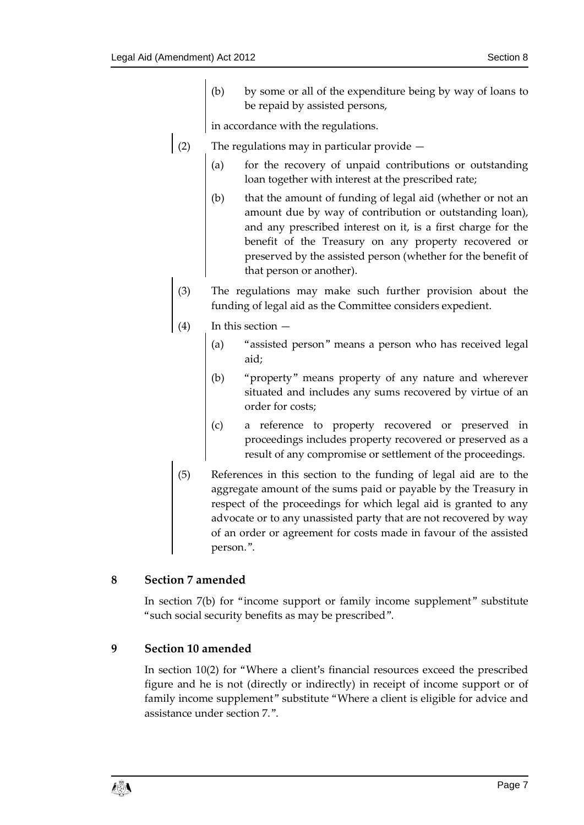(b) by some or all of the expenditure being by way of loans to be repaid by assisted persons,

in accordance with the regulations.

- (2) The regulations may in particular provide  $-$ 
	- (a) for the recovery of unpaid contributions or outstanding loan together with interest at the prescribed rate;
	- (b) that the amount of funding of legal aid (whether or not an amount due by way of contribution or outstanding loan), and any prescribed interest on it, is a first charge for the benefit of the Treasury on any property recovered or preserved by the assisted person (whether for the benefit of that person or another).
- (3) The regulations may make such further provision about the funding of legal aid as the Committee considers expedient.
- In this section  $-$ 
	- (a) "assisted person" means a person who has received legal aid;
	- (b) "property" means property of any nature and wherever situated and includes any sums recovered by virtue of an order for costs;
	- (c) a reference to property recovered or preserved in proceedings includes property recovered or preserved as a result of any compromise or settlement of the proceedings.
- (5) References in this section to the funding of legal aid are to the aggregate amount of the sums paid or payable by the Treasury in respect of the proceedings for which legal aid is granted to any advocate or to any unassisted party that are not recovered by way of an order or agreement for costs made in favour of the assisted person.".

### <span id="page-6-0"></span>**8 Section 7 amended**

In section 7(b) for "income support or family income supplement" substitute "such social security benefits as may be prescribed".

### <span id="page-6-1"></span>**9 Section 10 amended**

In section 10(2) for "Where a client's financial resources exceed the prescribed figure and he is not (directly or indirectly) in receipt of income support or of family income supplement" substitute "Where a client is eligible for advice and assistance under section 7.".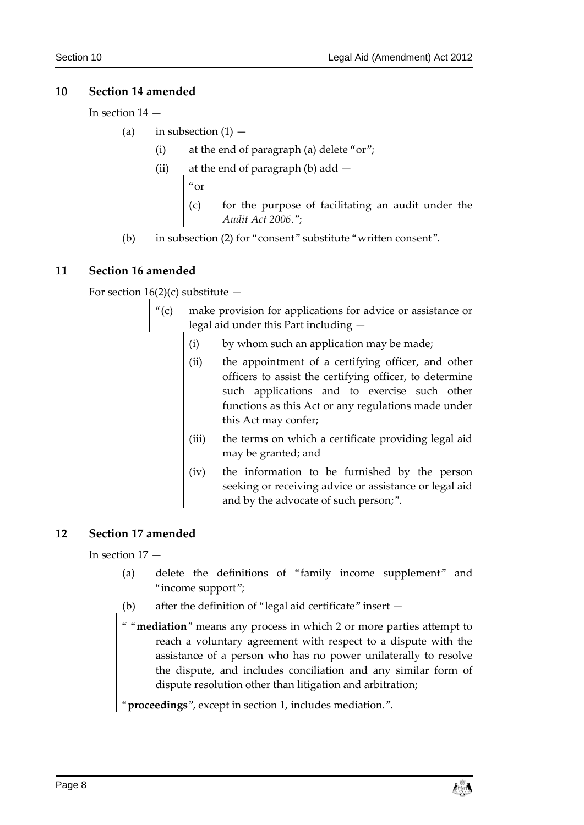## <span id="page-7-0"></span>**10 Section 14 amended**

In section 14 —

(a) in subsection  $(1)$  –

- (i) at the end of paragraph (a) delete "or";
- (ii) at the end of paragraph (b) add —

"or

- for the purpose of facilitating an audit under the *Audit Act 2006*.";
- (b) in subsection (2) for "consent" substitute "written consent".

## <span id="page-7-1"></span>**11 Section 16 amended**

For section  $16(2)(c)$  substitute  $-$ 

- "(c) make provision for applications for advice or assistance or legal aid under this Part including —
	- (i) by whom such an application may be made;
	- (ii) the appointment of a certifying officer, and other officers to assist the certifying officer, to determine such applications and to exercise such other functions as this Act or any regulations made under this Act may confer;
	- (iii) the terms on which a certificate providing legal aid may be granted; and
	- (iv) the information to be furnished by the person seeking or receiving advice or assistance or legal aid and by the advocate of such person;".

## <span id="page-7-2"></span>**12 Section 17 amended**

In section 17 —

- (a) delete the definitions of "family income supplement" and "income support";
- (b) after the definition of "legal aid certificate" insert —
- " "**mediation**" means any process in which 2 or more parties attempt to reach a voluntary agreement with respect to a dispute with the assistance of a person who has no power unilaterally to resolve the dispute, and includes conciliation and any similar form of dispute resolution other than litigation and arbitration;

"**proceedings**", except in section 1, includes mediation.".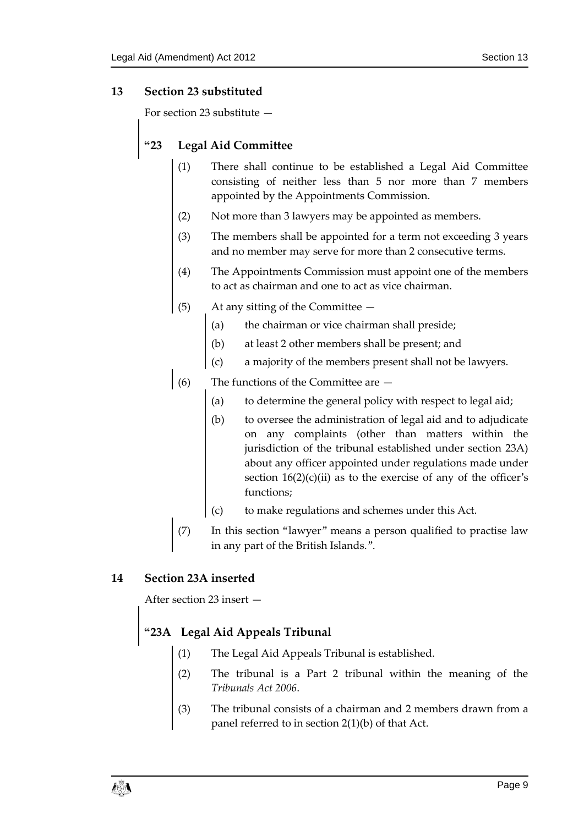## <span id="page-8-0"></span>**13 Section 23 substituted**

For section 23 substitute —

## **"23 Legal Aid Committee**

- (1) There shall continue to be established a Legal Aid Committee consisting of neither less than 5 nor more than 7 members appointed by the Appointments Commission.
- (2) Not more than 3 lawyers may be appointed as members.
- (3) The members shall be appointed for a term not exceeding 3 years and no member may serve for more than 2 consecutive terms.
- (4) The Appointments Commission must appoint one of the members to act as chairman and one to act as vice chairman.
- (5) At any sitting of the Committee
	- (a) the chairman or vice chairman shall preside;
	- (b) at least 2 other members shall be present; and
	- (c) a majority of the members present shall not be lawyers.
- $(6)$  The functions of the Committee are  $-$ 
	- (a) to determine the general policy with respect to legal aid;
	- (b) to oversee the administration of legal aid and to adjudicate on any complaints (other than matters within the jurisdiction of the tribunal established under section 23A) about any officer appointed under regulations made under section  $16(2)(c)(ii)$  as to the exercise of any of the officer's functions;
	- (c) to make regulations and schemes under this Act.
- (7) In this section "lawyer" means a person qualified to practise law in any part of the British Islands.".

### <span id="page-8-1"></span>**14 Section 23A inserted**

After section 23 insert —

## **"23A Legal Aid Appeals Tribunal**

- (1) The Legal Aid Appeals Tribunal is established.
- (2) The tribunal is a Part 2 tribunal within the meaning of the *Tribunals Act 2006*.
- The tribunal consists of a chairman and 2 members drawn from a panel referred to in section 2(1)(b) of that Act.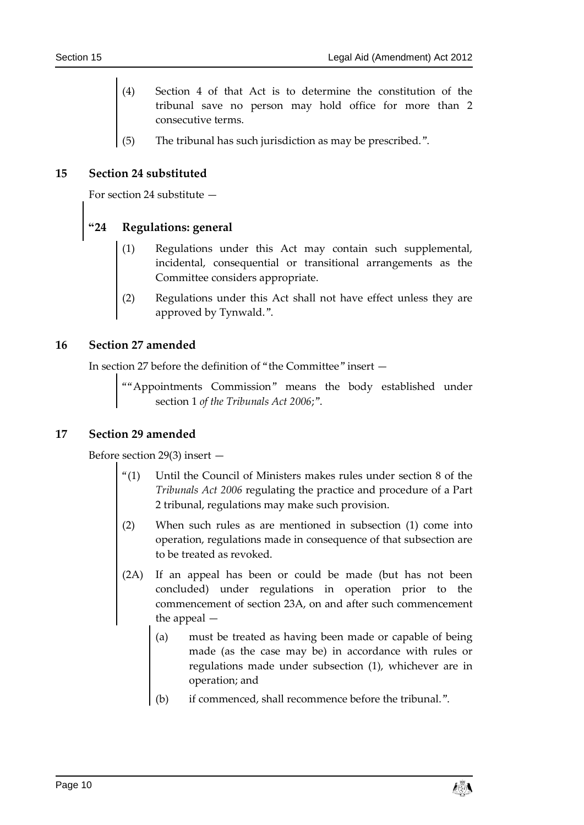- Section 4 of that Act is to determine the constitution of the tribunal save no person may hold office for more than 2 consecutive terms.
- (5) The tribunal has such jurisdiction as may be prescribed.".

#### <span id="page-9-0"></span>**15 Section 24 substituted**

For section 24 substitute —

# **"24 Regulations: general**

- Regulations under this Act may contain such supplemental, incidental, consequential or transitional arrangements as the Committee considers appropriate.
- (2) Regulations under this Act shall not have effect unless they are approved by Tynwald.".

#### <span id="page-9-1"></span>**16 Section 27 amended**

In section 27 before the definition of "the Committee" insert —

""Appointments Commission" means the body established under section 1 *of the Tribunals Act 2006*;".

#### <span id="page-9-2"></span>**17 Section 29 amended**

Before section 29(3) insert —

- "(1) Until the Council of Ministers makes rules under section 8 of the *Tribunals Act 2006* regulating the practice and procedure of a Part 2 tribunal, regulations may make such provision.
- (2) When such rules as are mentioned in subsection (1) come into operation, regulations made in consequence of that subsection are to be treated as revoked.
- (2A) If an appeal has been or could be made (but has not been concluded) under regulations in operation prior to the commencement of section 23A, on and after such commencement the appeal —
	- (a) must be treated as having been made or capable of being made (as the case may be) in accordance with rules or regulations made under subsection (1), whichever are in operation; and
	- (b) if commenced, shall recommence before the tribunal.".